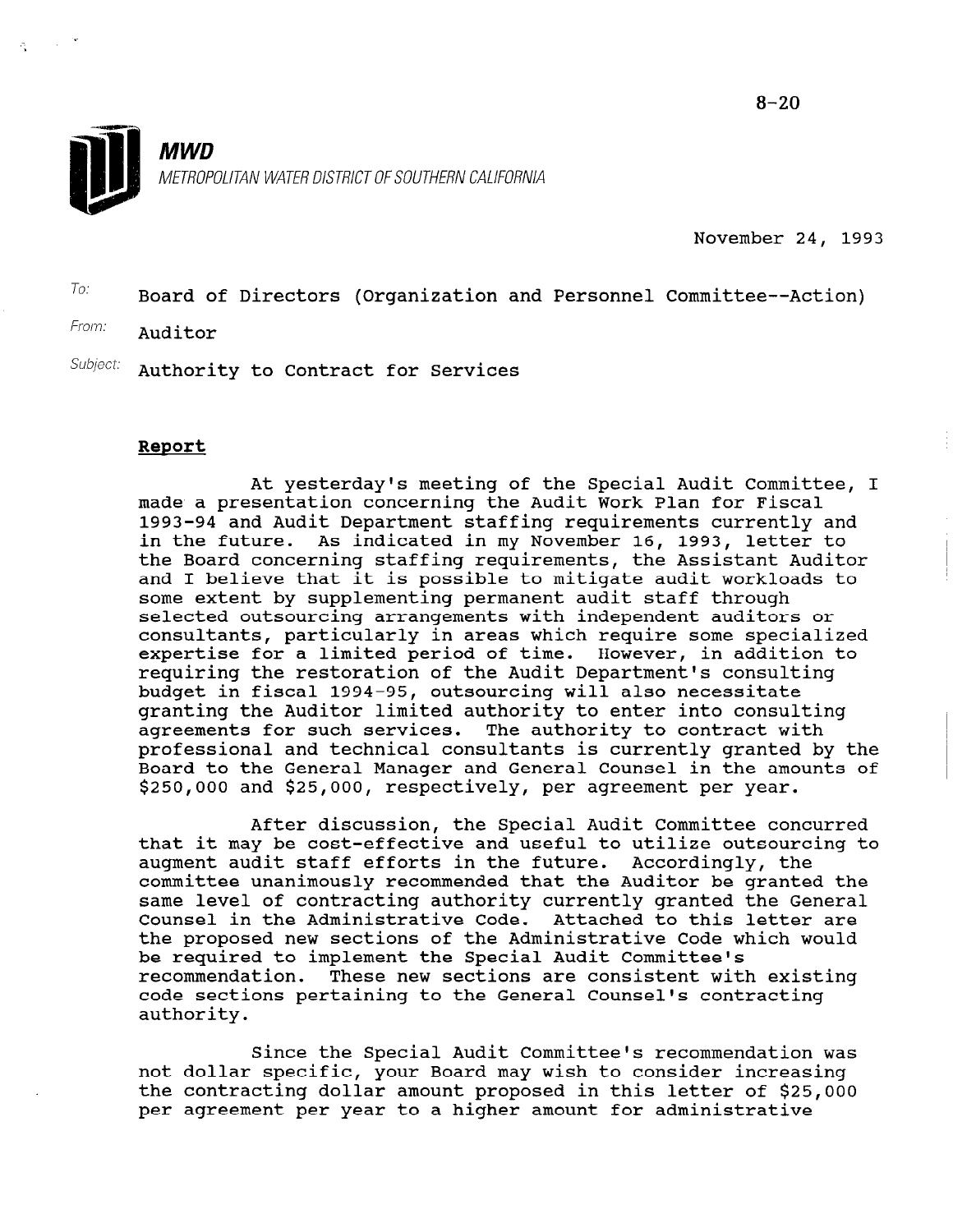November 24, 1993

 $T$ o: Board of Directors (Organization and Personnel Committee--Action)

From: Auditor

Subject: Authority to Contract for Services

# Report

At yesterday's meeting of the Special Audit Committee, I made a presentation concerning the Audit Work Plan for Fiscal 1993-94 and Audit Department staffing requirements currently and in the future. As indicated in my November 16, 1993, letter to the Board concerning staffing requirements, the Assistant Auditor and I believe that it is possible to mitigate audit workloads to some extent by supplementing permanent audit staff through selected outsourcing arrangements with independent auditors or consultants, particularly in areas which require some specialized expertise for a limited period of time. However, in addition to requiring the restoration of the Audit Department's consulting budget in fiscal 1994-95, outsourcing will also necessitate granting the Auditor limited authority to enter into consulting agreements for such services. The authority to contract with professional and technical consultants is currently granted by the Board to the General Manager and General Counsel in the amounts of \$250,000 and \$25,000, respectively, per agreement per year.

After discussion, the Special Audit Committee concurred AILEI GISCUSSION, CHE SPECIAL AGGIL COMMILCEE CONCUITED.<br>That it was be cost-effective and useful to utilize outsourcing to chat it may be cost-effective and useful to utflize outsourd augment audit staff efforts in the future. Accordingly, the<br>committee unanimously recommended that the Auditor be granted the committee unanimously recommended that the Auditor be granted the Same level of contracting authority currently granted the General tounsel in the Administrative Code. Attached to this letter are<br>the proposed new sections of the Administrative Code which would be proposed new securious of the Auministrative Code recommendation. These new sections are consistent with existing recommendation. These new sections are consistent with ex code sections pertaining to the General Counsel's contracting<br>authority.

 $\mathcal{S}$  is a the Special Audit  $\mathcal{S}$  recommittee is recommendation was  $\mathcal{S}$ since the special Audit committee's recommendation not dollar specific, your Board may wish to consider increasing the contracting dollar amount proposed in this letter of \$25,000 per agreement per year to a higher amount for administrative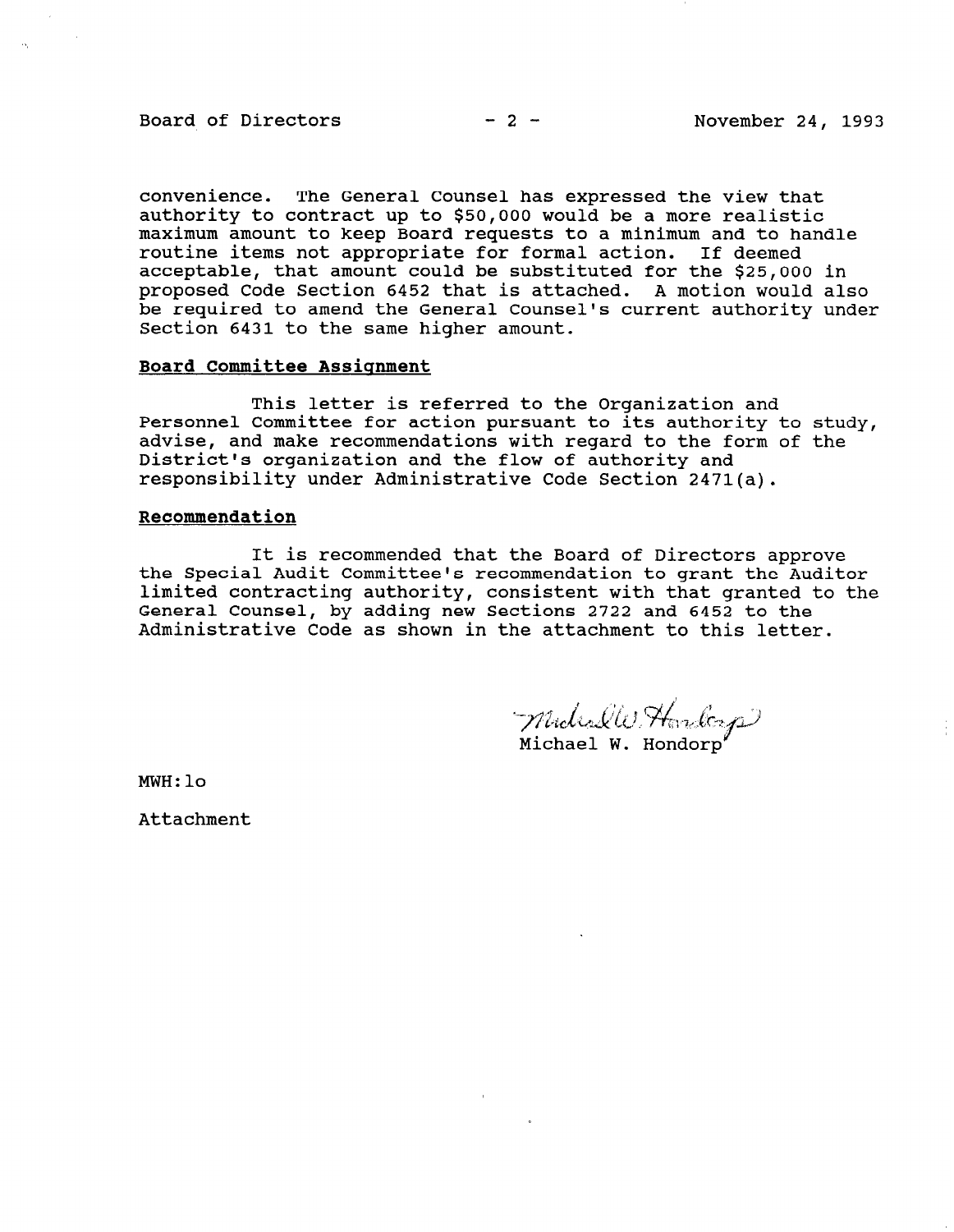## Board of Directors  $-2-$  November 24, 1993

convenience. The General Counsel has expressed the view that authority to contract up to \$50,000 would be a more realistic maximum amount to keep Board requests to a minimum and to handle routine items not appropriate for formal action. If deemed acceptable, that amount could be substituted for the \$25,000 in proposed Code Section 6452 that is attached. A motion would also be required to amend the General Counsel's current authority under Section 6431 to the same higher amount.

# Board Committee Assignment

This letter is referred to the Organization and Personnel Committee for action pursuant to its authority to study, advise, and make recommendations with regard to the form of the District's organization and the flow of authority and responsibility under Administrative Code Section 2471(a).

#### Recommendation

It is recommended that the Board of Directors approve the Special Audit Committee's recommendation to grant the Auditor limited contracting authority, consistent with that granted to the General Counsel, by adding new Sections 2722 and 6452 to the Administrative Code as shown in the attachment to this letter.

Michaelle Hardcrop

Michael W. Hondorp

MWH:lo

Attachment